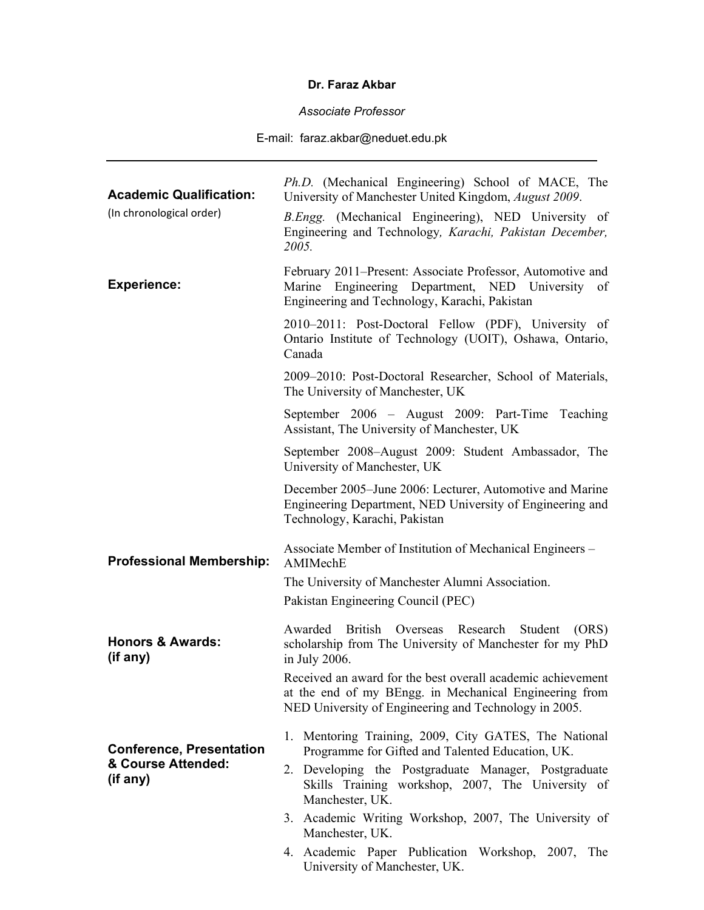## **Dr. Faraz Akbar**

*Associate Professor* 

E-mail: faraz.akbar@neduet.edu.pk

| <b>Academic Qualification:</b><br>(In chronological order)        | Ph.D. (Mechanical Engineering) School of MACE, The<br>University of Manchester United Kingdom, August 2009.<br>B.Engg. (Mechanical Engineering), NED University of<br>Engineering and Technology, Karachi, Pakistan December,<br>2005.                                                                                                                                                                      |
|-------------------------------------------------------------------|-------------------------------------------------------------------------------------------------------------------------------------------------------------------------------------------------------------------------------------------------------------------------------------------------------------------------------------------------------------------------------------------------------------|
| <b>Experience:</b>                                                | February 2011–Present: Associate Professor, Automotive and<br>Marine Engineering Department, NED University<br>of<br>Engineering and Technology, Karachi, Pakistan                                                                                                                                                                                                                                          |
|                                                                   | 2010–2011: Post-Doctoral Fellow (PDF), University of<br>Ontario Institute of Technology (UOIT), Oshawa, Ontario,<br>Canada                                                                                                                                                                                                                                                                                  |
|                                                                   | 2009–2010: Post-Doctoral Researcher, School of Materials,<br>The University of Manchester, UK                                                                                                                                                                                                                                                                                                               |
|                                                                   | September 2006 – August 2009: Part-Time Teaching<br>Assistant, The University of Manchester, UK                                                                                                                                                                                                                                                                                                             |
|                                                                   | September 2008–August 2009: Student Ambassador, The<br>University of Manchester, UK                                                                                                                                                                                                                                                                                                                         |
|                                                                   | December 2005–June 2006: Lecturer, Automotive and Marine<br>Engineering Department, NED University of Engineering and<br>Technology, Karachi, Pakistan                                                                                                                                                                                                                                                      |
| <b>Professional Membership:</b>                                   | Associate Member of Institution of Mechanical Engineers -<br>AMIMechE                                                                                                                                                                                                                                                                                                                                       |
|                                                                   | The University of Manchester Alumni Association.<br>Pakistan Engineering Council (PEC)                                                                                                                                                                                                                                                                                                                      |
| <b>Honors &amp; Awards:</b><br>(if any)                           | Awarded British Overseas Research Student<br>(ORS)<br>scholarship from The University of Manchester for my PhD<br>in July 2006.<br>Received an award for the best overall academic achievement                                                                                                                                                                                                              |
|                                                                   | at the end of my BEngg. in Mechanical Engineering from<br>NED University of Engineering and Technology in 2005.                                                                                                                                                                                                                                                                                             |
| <b>Conference, Presentation</b><br>& Course Attended:<br>(if any) | 1. Mentoring Training, 2009, City GATES, The National<br>Programme for Gifted and Talented Education, UK.<br>2. Developing the Postgraduate Manager, Postgraduate<br>Skills Training workshop, 2007, The University of<br>Manchester, UK.<br>3. Academic Writing Workshop, 2007, The University of<br>Manchester, UK.<br>4. Academic Paper Publication Workshop, 2007, The<br>University of Manchester, UK. |